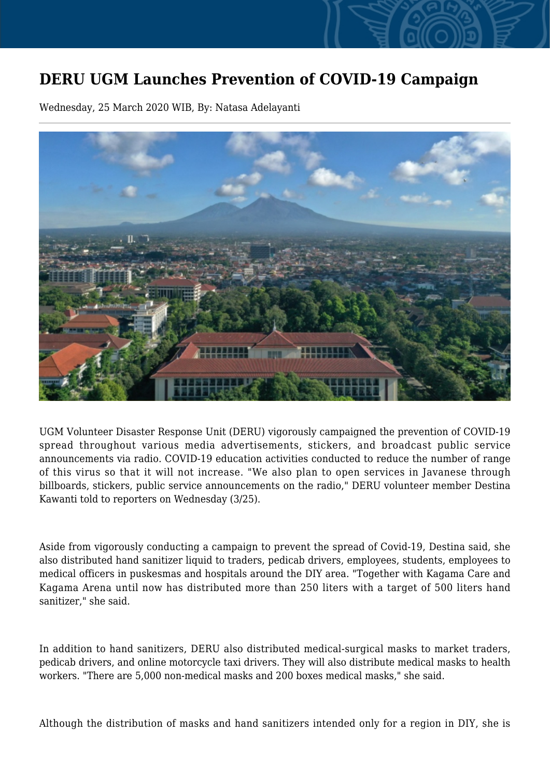## **DERU UGM Launches Prevention of COVID-19 Campaign**

Wednesday, 25 March 2020 WIB, By: Natasa Adelayanti



UGM Volunteer Disaster Response Unit (DERU) vigorously campaigned the prevention of COVID-19 spread throughout various media advertisements, stickers, and broadcast public service announcements via radio. COVID-19 education activities conducted to reduce the number of range of this virus so that it will not increase. "We also plan to open services in Javanese through billboards, stickers, public service announcements on the radio," DERU volunteer member Destina Kawanti told to reporters on Wednesday (3/25).

Aside from vigorously conducting a campaign to prevent the spread of Covid-19, Destina said, she also distributed hand sanitizer liquid to traders, pedicab drivers, employees, students, employees to medical officers in puskesmas and hospitals around the DIY area. "Together with Kagama Care and Kagama Arena until now has distributed more than 250 liters with a target of 500 liters hand sanitizer," she said.

In addition to hand sanitizers, DERU also distributed medical-surgical masks to market traders, pedicab drivers, and online motorcycle taxi drivers. They will also distribute medical masks to health workers. "There are 5,000 non-medical masks and 200 boxes medical masks," she said.

Although the distribution of masks and hand sanitizers intended only for a region in DIY, she is